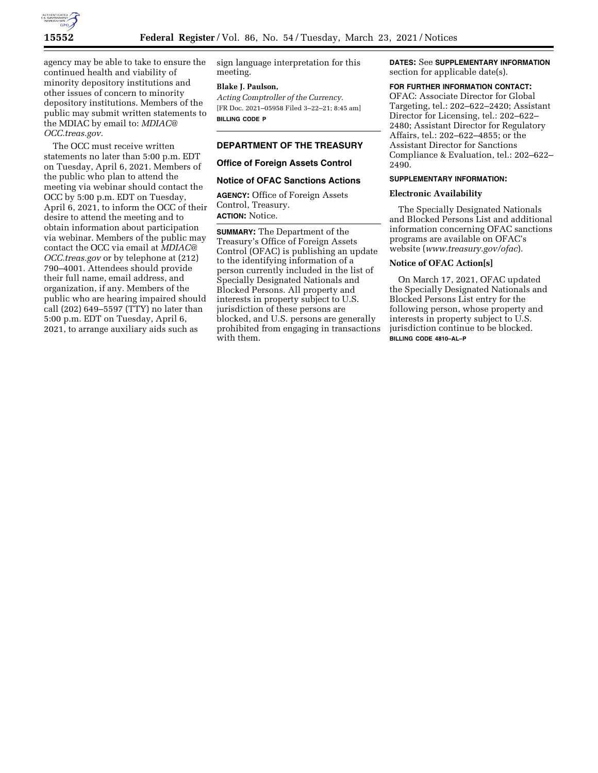

agency may be able to take to ensure the continued health and viability of minority depository institutions and other issues of concern to minority depository institutions. Members of the public may submit written statements to the MDIAC by email to: *[MDIAC@](mailto:MDIAC@OCC.treas.gov) [OCC.treas.gov.](mailto:MDIAC@OCC.treas.gov)* 

The OCC must receive written statements no later than 5:00 p.m. EDT on Tuesday, April 6, 2021. Members of the public who plan to attend the meeting via webinar should contact the OCC by 5:00 p.m. EDT on Tuesday, April 6, 2021, to inform the OCC of their desire to attend the meeting and to obtain information about participation via webinar. Members of the public may contact the OCC via email at *[MDIAC@](mailto:MDIAC@OCC.treas.gov) [OCC.treas.gov](mailto:MDIAC@OCC.treas.gov)* or by telephone at (212) 790–4001. Attendees should provide their full name, email address, and organization, if any. Members of the public who are hearing impaired should call (202) 649–5597 (TTY) no later than 5:00 p.m. EDT on Tuesday, April 6, 2021, to arrange auxiliary aids such as

sign language interpretation for this meeting.

#### **Blake J. Paulson,**

*Acting Comptroller of the Currency.*  [FR Doc. 2021–05958 Filed 3–22–21; 8:45 am] **BILLING CODE P** 

## **DEPARTMENT OF THE TREASURY**

#### **Office of Foreign Assets Control**

#### **Notice of OFAC Sanctions Actions**

**AGENCY:** Office of Foreign Assets Control, Treasury. **ACTION:** Notice.

**SUMMARY:** The Department of the Treasury's Office of Foreign Assets Control (OFAC) is publishing an update to the identifying information of a person currently included in the list of Specially Designated Nationals and Blocked Persons. All property and interests in property subject to U.S. jurisdiction of these persons are blocked, and U.S. persons are generally prohibited from engaging in transactions with them.

**DATES:** See **SUPPLEMENTARY INFORMATION** section for applicable date(s).

#### **FOR FURTHER INFORMATION CONTACT:**

OFAC: Associate Director for Global Targeting, tel.: 202–622–2420; Assistant Director for Licensing, tel.: 202–622– 2480; Assistant Director for Regulatory Affairs, tel.: 202–622–4855; or the Assistant Director for Sanctions Compliance & Evaluation, tel.: 202–622– 2490.

## **SUPPLEMENTARY INFORMATION:**

## **Electronic Availability**

The Specially Designated Nationals and Blocked Persons List and additional information concerning OFAC sanctions programs are available on OFAC's website (*[www.treasury.gov/ofac](http://www.treasury.gov/ofac)*).

## **Notice of OFAC Action[s]**

On March 17, 2021, OFAC updated the Specially Designated Nationals and Blocked Persons List entry for the following person, whose property and interests in property subject to U.S. jurisdiction continue to be blocked. **BILLING CODE 4810–AL–P**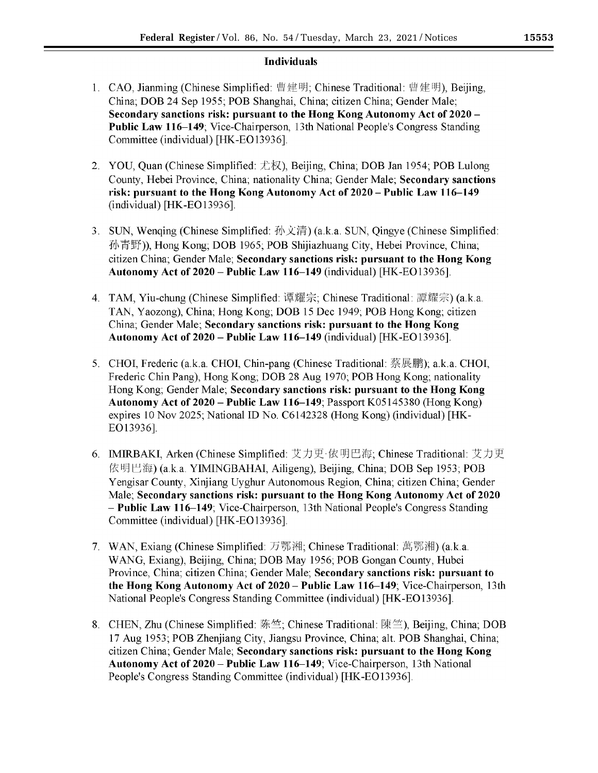# **Individuals**

- 1. CAO, Jianming (Chinese Simplified: 曹建明; Chinese Traditional: 曹建明), Beijing, China; DOB 24 Sep 1955; POB Shanghai, China; citizen China; Gender Male; **Secondary sanctions risk: pursuant to the Hong Kong Autonomy Act of 2020** - **Public Law 116–149;** Vice-Chairperson, 13th National People's Congress Standing Committee (individual) [HK-EO13936].
- 2. YOU, Quan (Chinese Simplified: 尤权), Beijing, China; DOB Jan 1954; POB Lulong County, Hebei Province, China; nationality China; Gender Male; **Secondary sanctions risk: pursuant to the Hong Kong Autonomy Act of 2020- Public Law 116--149**  (individual) [HK-EO13936].
- 3. SUN, Wenqing (Chinese Simplified: 孙文清) (a.k.a. SUN, Qingye (Chinese Simplified: 孙青野)), Hong Kong; DOB 1965; POB Shijiazhuang City, Hebei Province, China; citizen China; Gender Male; **Secondary sanctions risk: pursuant to the Hong Kong Autonomy Act of 2020-Public Law 116-149** (individual) [HK-EO13936].
- 4. TAM, Yiu-chung (Chinese Simplified: 谭耀宗; Chinese Traditional: 譚耀宗) (a.k.a. TAN, Yaozong), China; Hong Kong; **DOB** 15 Dec 1949; POB Hong Kong; citizen China; Gender Male; **Secondary sanctions risk: pursuant to the Hong Kong Autonomy Act of 2020 – Public Law 116–149** (individual) [HK-EO13936].
- 5. CHOI, Frederic (a.k.a. CHOI, Chin-pang (Chinese Traditional: 蔡展鹏); a.k.a. CHOI, Frederic Chin Pang), Hong Kong; DOB 28 Aug 1970; POB Hong Kong; nationality Hong Kong; Gender Male; **Secondary sanctions risk: pursuant to the Hong Kong Autonomy Act of 2020-Public Law 116--149;** Passport K05145380 (Hong Kong) expires 10 Nov 2025; National ID No. C6142328 (Hong Kong) (individual) [HK- £O13936].
- 6. IMIRBAKI, Arken (Chinese Simplified: 艾力更·依明巴海; Chinese Traditional: 艾力更 *{R~* ~~) (a.k.a. YIMINGBAHAI, Ailigeng), Beijing, China; DOB Sep 1953; POB Yengisar County, Xinjiang Uyghur Autonomous Region, China; citizen China; Gender Male; **Secondary sanctions risk: pursuant to the Hong Kong Autonomy Act of 2020**  - **Public Law 116--149;** Vice-Chairperson, 13th National People's Congress Standing Committee (individual) [HK-EO13936].
- 7. WAN, Exiang (Chinese Simplified: 万鄂湘; Chinese Traditional: 萬鄂湘) (a.k.a. WANG, Exiang), Beijing, China; DOB May 1956; POB Gongan County, Hubei Province, China; citizen China; Gender Male; **Secondary sanctions risk: pursuant to the Hong Kong Autonomy Act of 2020 - Public Law 116-149; Vice-Chairperson, 13th** National People's Congress Standing Committee (individual) [HK-EO13936].
- 8. CHEN, Zhu (Chinese Simplified: 陈竺; Chinese Traditional: 陳竺), Beijing, China; DOB 17 Aug 1953; POB Zhenjiang City, Jiangsu Province, China; alt. POB Shanghai, China; citizen China; Gender Male; **Secondary sanctions risk: pursuant to the Hong Kong**  Autonomy Act of 2020 - Public Law 116-149; Vice-Chairperson, 13th National People's Congress Standing Committee (individual) [HK-EO13936].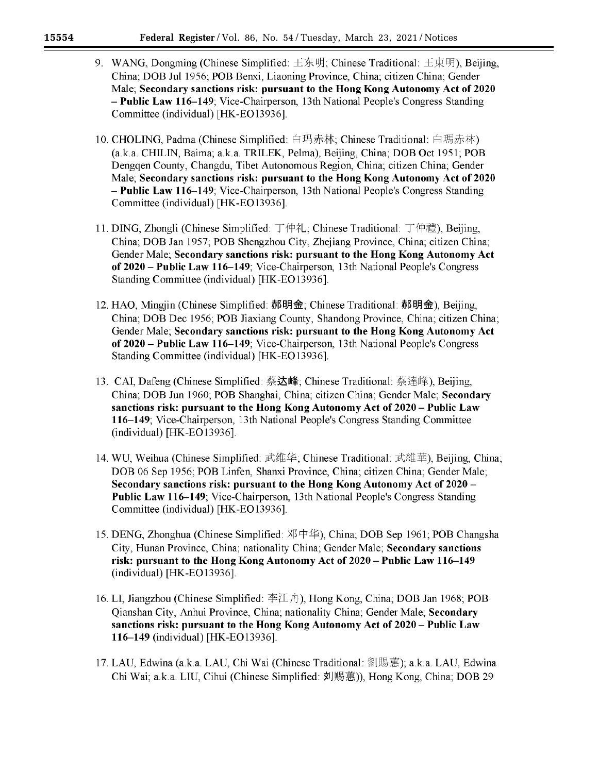- 9. WANG, Dongming (Chinese Simplified:  $\pm \bar{\mathcal{F}}$ 明; Chinese Traditional:  $\pm \bar{\mathcal{F}}$ 明), Beijing, China; DOB Jul 1956; POB Benxi, Liaoning Province, China; citizen China; Gender Male; **Secondary sanctions risk: pursuant to the Hong Kong Autonomy Act of 2020**  - **Public Law 116--149;** Vice-Chairperson, 13th National People's Congress Standing Committee (individual) [HK-EO13936].
- 10. CHOLING, Padma (Chinese Simplified: 白玛赤林; Chinese Traditional: 白瑪赤林) (a.k.a. CHILIN, Baima; a.k.a. TRILEK, Pelma), Beijing, China; DOB Oct 1951; POB Dengqen County, Changdu, Tibet Autonomous Region, China; citizen China; Gender Male; **Secondary sanctions risk: pursuant to the Hong Kong Autonomy Act of 2020**  - **Public Law 116-149**; Vice-Chairperson, 13th National People's Congress Standing Committee (individual) [HK-EO13936].
- 11. DING, Zhongli (Chinese Simplified: 丁仲礼; Chinese Traditional: 丁仲禮), Beijing, China; DOB Jan 1957; POB Shengzhou City, Zhejiang Province, China; citizen China; Gender Male; **Secondary sanctions risk: pursuant to the Hong Kong Autonomy Act of 2020** - **Public Law 116--149;** Vice-Chairperson, 13th National People's Congress Standing Committee (individual) [HK-EO13936].
- 12. HAO, Mingjin (Chinese Simplified: 郝明金; Chinese Traditional: 郝明金), Beijing, China; DOB Dec 1956; POB Jiaxiang County, Shandong Province, China; citizen China; Gender Male; **Secondary sanctions risk: pursuant to the Hong Kong Autonomy Act of 2020** - **Public Law 116-149;** Vice-Chairperson, 13th National People's Congress Standing Committee (individual) [HK-EO13936].
- 13. CAI, Dafeng (Chinese Simplified: 蔡**达峰**; Chinese Traditional: 蔡達峰), Beijing, China; DOB Jun 1960; POB Shanghai, China; citizen China; Gender Male; **Secondary sanctions risk: pursuant to the Hong Kong Autonomy Act of 2020** - **Public Law 116-149;** Vice-Chairperson, 13th National People's Congress Standing Committee (individual) [HK-EO13936].
- 14. WU, Weihua (Chinese Simplified: 武维华: Chinese Traditional: 武維華), Beijing, China; DOB 06 Sep 1956; POB Linfen, Shanxi Province, China; citizen China; Gender Male; **Secondary sanctions risk: pursuant to the Hong Kong Autonomy Act of 2020** - **Public Law 116–149;** Vice-Chairperson, 13th National People's Congress Standing Committee (individual) [HK-EO13936].
- 15. DENG, Zhonghua (Chinese Simplified:  $\mathcal{R} \uplus \mathcal{L}$ ), China; DOB Sep 1961; POB Changsha City, Hunan Province, China; nationality China; Gender Male; **Secondary sanctions risk: pursuant to the Hong Kong Autonomy Act of 2020** - **Public Law 116--149**  (individual) [HK-EO 13936].
- 16. LI, Jiangzhou (Chinese Simplified: 李江舟), Hong Kong, China; DOB Jan 1968; POB Qianshan City, Anhui Province, China; nationality China; Gender Male; **Secondary sanctions risk: pursuant to the Hong Kong Autonomy Act of 2020** - **Public Law 116--149** (individual) [HK-£O13936].
- 17. LAU, Edwina (a.k.a. LAU, Chi Wai (Chinese Traditional: 劉賜蕙); a.k.a. LAU, Edwina Chi Wai; a.k.a. LIU, Cihui (Chinese Simplified: 刘赐蕙)), Hong Kong, China; DOB 29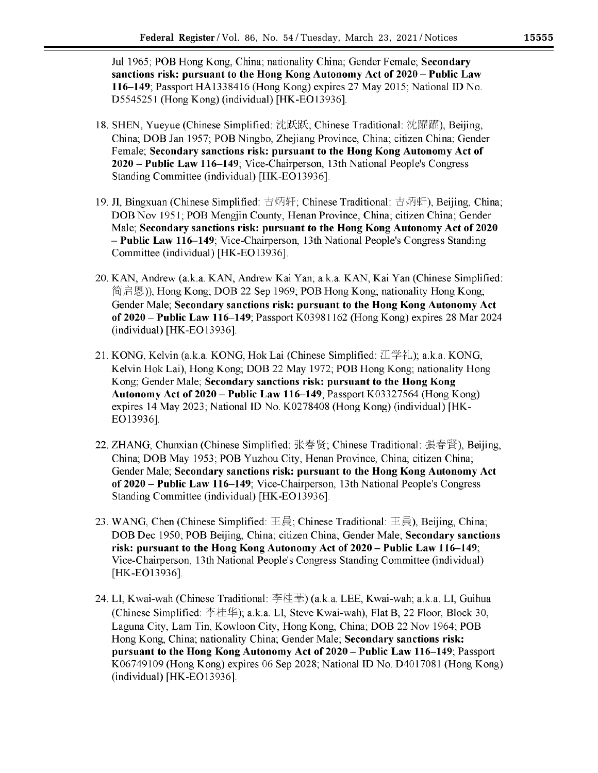Jul 1965; POB Hong Kong, China; nationality China; Gender Female; **Secondary sanctions risk: pursuant to the Hong Kong Autonomy Act of 2020** - **Public Law 116--149;** Passport HA1338416 (Hong Kong) expires 27 May 2015; National ID No. D5545251 (Hong Kong) (individual) [HK-EO13936].

- 18. SHEN, Yueyue (Chinese Simplified: 沈跃跃; Chinese Traditional: 沈躍躍), Beijing, China; DOB Jan 1957; POB Ningbo, Zhejiang Province, China; citizen China; Gender Female; **Secondary sanctions risk: pursuant to the Hong Kong Autonomy Act of 2020 -Public Law 116-149;** Vice-Chairperson, 13th National People's Congress Standing Committee (individual) [HK-EO13936].
- 19. JI, Bingxuan (Chinese Simplified: 吉炳轩; Chinese Traditional: 吉炳軒), Beijing, China; DOB Nov 1951; POB Mengjin County, Henan Province, China; citizen China; Gender Male; **Secondary sanctions risk: pursuant to the Hong Kong Autonomy Act of 2020**  - **Public Law 116--149;** Vice-Chairperson, 13th National People's Congress Standing Committee (individual) [HK-EO13936].
- 20. KAN, Andrew (a.k.a. KAN, Andrew Kai Yan; a.k.a. KAN, Kai Yan (Chinese Simplified:  $f$ ftifa  $f$ **<sub>f</sub>**  $f$ <sub>f</sub> $f$ **.**), Hong Kong; DOB 22 Sep 1969; POB Hong Kong; nationality Hong Kong; Gender Male; **Secondary sanctions risk: pursuant to the Hong Kong Autonomy Act of 2020** - **Public Law 116--149;** Passport K03981162 (Hong Kong) expires 28 Mar 2024 (individual) [HK-EO 13936].
- 21. KONG, Kelvin (a.k.a. KONG, Hok Lai (Chinese Simplified: 江学礼); a.k.a. KONG, Kelvin Hok Lai), Hong Kong; DOB 22 May 1972; POB Hong Kong; nationality Hong Kong; Gender Male; **Secondary sanctions risk: pursuant to the Hong Kong Autonomy Act of 2020** - **Public Law 116--149;** Passport K03327564 (Hong Kong) expires 14 May 2023; National ID No. K0278408 (Hong Kong) (individual) [HK-EO13936].
- 22. ZHANG, Chunxian (Chinese Simplified: 张春贤, Chinese Traditional: 張春賢), Beijing, China; DOB May 1953; POB Yuzhou City, Henan Province, China; citizen China; Gender Male; **Secondary sanctions risk: pursuant to the Hong Kong Autonomy Act of 2020** - **Public Law 116--149;** Vice-Chairperson, 13th National People's Congress Standing Committee (individual) [HK-EO13936].
- 23. WANG, Chen (Chinese Simplified: 王晨; Chinese Traditional: 王晨), Beijing, China; DOB Dec 1950; POB Beijing, China; citizen China; Gender Male; **Secondary sanctions risk: pursuant to the Hong Kong Autonomy Act of 2020- Public Law 116--149;**  Vice-Chairperson, 13th National People's Congress Standing Committee (individual) [HK-EO13936].
- 24. LI, Kwai-wah (Chinese Traditional: 李桂華) (a.k.a. LEE, Kwai-wah; a.k.a. LI, Guihua (Chinese Simplified: 李桂华); a.k.a. LI, Steve Kwai-wah), Flat B, 22 Floor, Block 30, Laguna City, Lam Tin, Kowloon City, Hong Kong, China; DOB 22 Nov 1964; POB Hong Kong, China; nationality China; Gender Male; **Secondary sanctions risk: pursuant to the Hong Kong Autonomy Act of 2020-Public Law 116-149;** Passport K06749109 (Hong Kong) expires 06 Sep 2028; National ID No. D4017081 (Hong Kong) (individual) [HK-EO13936].